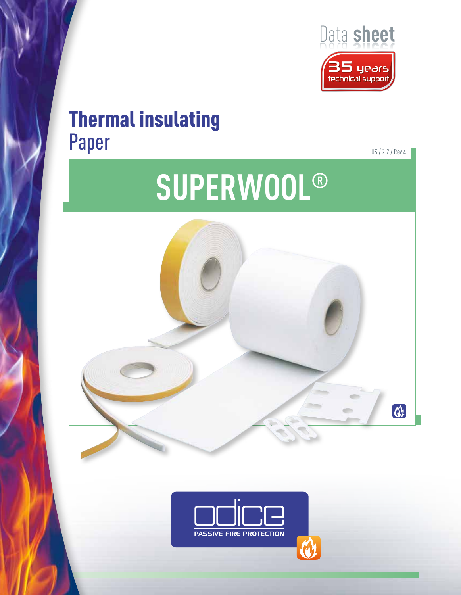

# Thermal insulating Paper

US / 2.2 / Rev.4

# **SUPERWOOL®**



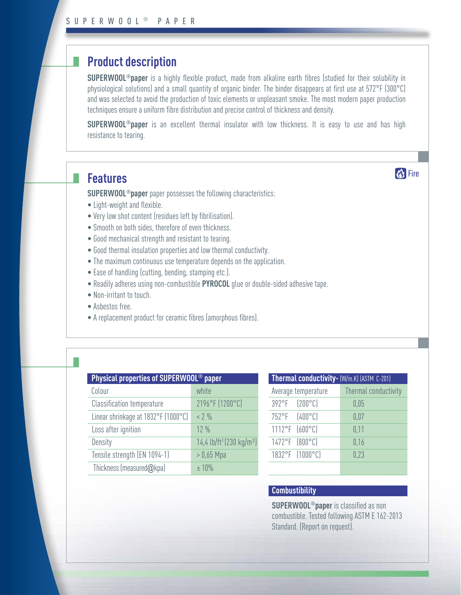# **Product description**

**SUPERWOOL®paper** is a highly flexible product, made from alkaline earth fibres (studied for their solubility in physiological solutions) and a small quantity of organic binder. The binder disappears at first use at 572°F (300°C) and was selected to avoid the production of toxic elements or unpleasant smoke. The most modern paper production techniques ensure a uniform fibre distribution and precise control of thickness and density.

**SUPERWOOL®paper** is an excellent thermal insulator with low thickness. It is easy to use and has high resistance to tearing.

# **Features**

٠

**SUPERWOOL®paper** paper possesses the following characteristics:

- Light-weight and flexible.
- Very low shot content (residues left by fibrilisation).
- Smooth on both sides, therefore of even thickness.
- Good mechanical strength and resistant to tearing.
- Good thermal insulation properties and low thermal conductivity.
- The maximum continuous use temperature depends on the application.
- Ease of handling (cutting, bending, stamping etc.).
- Readily adheres using non-combustible **PYROCOL** glue or double-sided adhesive tape.
- Non-irritant to touch.
- Asbestos free.
- A replacement product for ceramic fibres (amorphous fibres).

| Physical properties of SUPERWOOL <sup>®</sup> paper |                                     |                                                  |
|-----------------------------------------------------|-------------------------------------|--------------------------------------------------|
|                                                     | Colour                              | white                                            |
|                                                     | <b>Classification temperature</b>   | 2196°F (1200°C)                                  |
|                                                     | Linear shrinkage at 1832°F (1000°C) | $< 2\%$                                          |
|                                                     | Loss after ignition                 | $12\%$                                           |
|                                                     | Density                             | 14,4 lb/ft <sup>3</sup> (230 kg/m <sup>3</sup> ) |
|                                                     | Tensile strength (EN 1094-1)        | $> 0.65$ Mpa                                     |
|                                                     | Thickness (measured@kpa)            | ± 10%                                            |
|                                                     |                                     |                                                  |

| Thermal conductivity- (W/m.K) (ASTM C-201) |                      |  |  |
|--------------------------------------------|----------------------|--|--|
| Average temperature                        | Thermal conductivity |  |  |
| 392°F (200°C)                              | 0,05                 |  |  |
| 752°F (400°C)                              | 0.07                 |  |  |
| 1112°F (600°C)                             | 0,11                 |  |  |
| 1472°F (800°C)                             | 0,16                 |  |  |
| 1832°F (1000°C)                            | 0,23                 |  |  |
|                                            |                      |  |  |

**KA** Fire

### **Combustibility**

**SUPERWOOL®paper** is classified as non combustible. Tested following ASTM E 162-2013 Standard. (Report on request).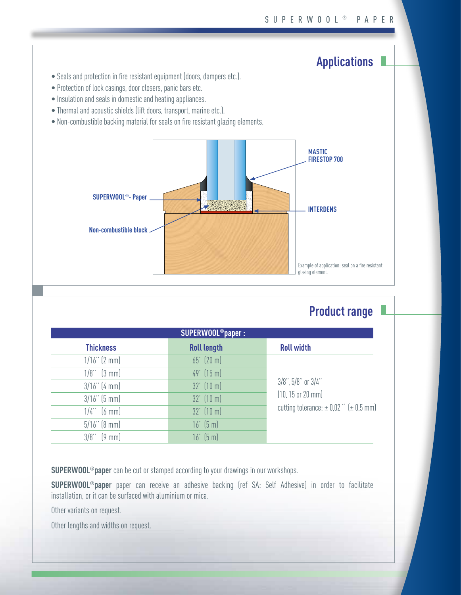# **Applications**

- Seals and protection in fire resistant equipment (doors, dampers etc.).
- Protection of lock casings, door closers, panic bars etc.
- Insulation and seals in domestic and heating appliances.
- Thermal and acoustic shields (lift doors, transport, marine etc.).
- Non-combustible backing material for seals on fire resistant glazing elements.



# **Product range**

| SUPERWOOL <sup>®</sup> paper: |                       |                                                                                                                        |  |  |
|-------------------------------|-----------------------|------------------------------------------------------------------------------------------------------------------------|--|--|
| <b>Thickness</b>              | <b>Roll length</b>    | <b>Roll width</b>                                                                                                      |  |  |
| $1/16$ " (2 mm)               | 65' (20 m)            | $3/8$ ", $5/8$ " or $3/4$ "<br>$(10, 15 \text{ or } 20 \text{ mm})$<br>cutting tolerance: $\pm$ 0,02 " ( $\pm$ 0,5 mm) |  |  |
| $1/8$ " $(3 \text{ mm})$      | $49'$ (15 m)          |                                                                                                                        |  |  |
| $3/16$ " (4 mm)               | $32'$ (10 m)          |                                                                                                                        |  |  |
| $3/16$ " (5 mm)               | $32'$ (10 m)          |                                                                                                                        |  |  |
| $1/4$ " $(6 \text{ mm})$      | $32'$ (10 m)          |                                                                                                                        |  |  |
| $5/16$ " (8 mm)               | $16'$ $(5 \text{ m})$ |                                                                                                                        |  |  |
| $3/8$ " $(9 \text{ mm})$      | $16'$ $(5 \text{ m})$ |                                                                                                                        |  |  |

**SUPERWOOL®paper** can be cut or stamped according to your drawings in our workshops.

**SUPERWOOL®paper** paper can receive an adhesive backing (ref SA: Self Adhesive) in order to facilitate installation, or it can be surfaced with aluminium or mica.

Other variants on request.

Other lengths and widths on request.